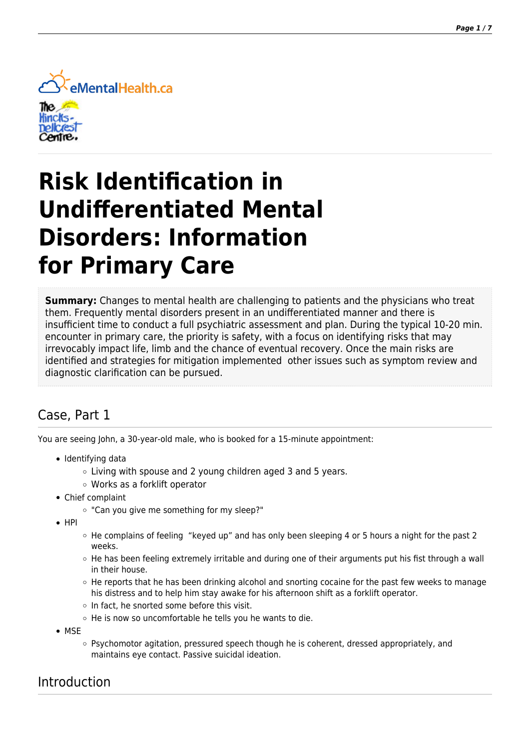

# **Risk Identification in Undifferentiated Mental Disorders: Information for Primary Care**

**Summary:** Changes to mental health are challenging to patients and the physicians who treat them. Frequently mental disorders present in an undifferentiated manner and there is insufficient time to conduct a full psychiatric assessment and plan. During the typical 10-20 min. encounter in primary care, the priority is safety, with a focus on identifying risks that may irrevocably impact life, limb and the chance of eventual recovery.
Once the main risks are identified and strategies for mitigation implemented other issues such as symptom review and diagnostic clarification can be pursued.

# Case, Part 1

You are seeing John, a 30-year-old male, who is booked for a 15-minute appointment:

- Identifying data
	- Living with spouse and 2 young children aged 3 and 5 years.
	- Works as a forklift operator
- Chief complaint
	- "Can you give me something for my sleep?"
- $\bullet$  HPI
- $\circ$  He complains of feeling "keyed up" and has only been sleeping 4 or 5 hours a night for the past 2 weeks.
- $\circ$  He has been feeling extremely irritable and during one of their arguments put his fist through a wall in their house.
- $\circ$  He reports that he has been drinking alcohol and snorting cocaine for the past few weeks to manage his distress and to help him stay awake for his afternoon shift as a forklift operator.
- $\circ$  In fact, he snorted some before this visit.
- He is now so uncomfortable he tells you he wants to die.
- MSE
	- Psychomotor agitation, pressured speech though he is coherent, dressed appropriately, and maintains eye contact. Passive suicidal ideation.

#### Introduction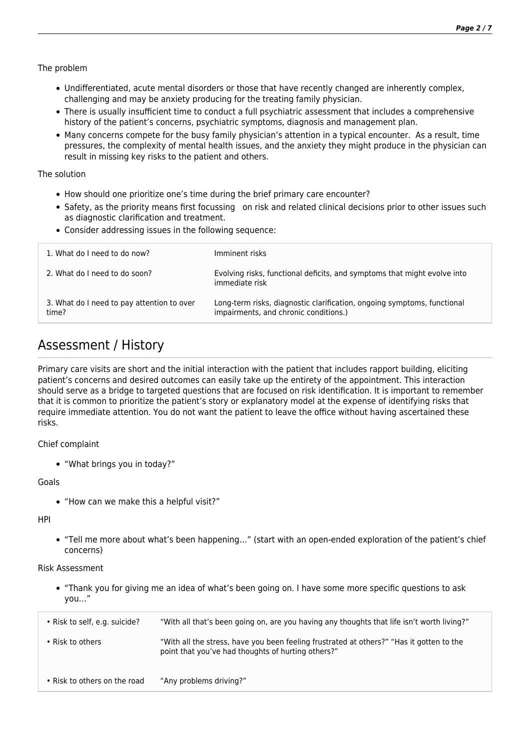The problem

- Undifferentiated, acute mental disorders or those that have recently changed are inherently complex, challenging and may be anxiety producing for the treating family physician.
- There is usually insufficient time to conduct a full psychiatric assessment that includes a comprehensive history of the patient's concerns, psychiatric symptoms, diagnosis and management plan.
- Many concerns compete for the busy family physician's attention in a typical encounter. As a result, time pressures, the complexity of mental health issues, and the anxiety they might produce in the physician can result in missing key risks to the patient and others.

The solution

- How should one prioritize one's time during the brief primary care encounter?
- Safety, as the priority means first focussing on risk and related clinical decisions prior to other issues such as diagnostic clarification and treatment.
- Consider addressing issues in the following sequence:

|                                                     | immediate risk                                                                                                   |
|-----------------------------------------------------|------------------------------------------------------------------------------------------------------------------|
| 3. What do I need to pay attention to over<br>time? | Long-term risks, diagnostic clarification, ongoing symptoms, functional<br>impairments, and chronic conditions.) |
|                                                     |                                                                                                                  |

## Assessment / History

Primary care visits are short and the initial interaction with the patient that includes rapport building, eliciting patient's concerns and desired outcomes can easily take up the entirety of the appointment. This interaction should serve as a bridge to targeted questions that are focused on risk identification. It is important to remember that it is common to prioritize the patient's story or explanatory model at the expense of identifying risks that require immediate attention. You do not want the patient to leave the office without having ascertained these risks.

Chief complaint

"What brings you in today?"

Goals

"How can we make this a helpful visit?"

HPI

"Tell me more about what's been happening…" (start with an open-ended exploration of the patient's chief concerns)

Risk Assessment

"Thank you for giving me an idea of what's been going on. I have some more specific questions to ask you…"

| • Risk to self, e.g. suicide? | "With all that's been going on, are you having any thoughts that life isn't worth living?"                                                     |
|-------------------------------|------------------------------------------------------------------------------------------------------------------------------------------------|
| • Risk to others              | "With all the stress, have you been feeling frustrated at others?" "Has it gotten to the<br>point that you've had thoughts of hurting others?" |
| • Risk to others on the road  | "Any problems driving?"                                                                                                                        |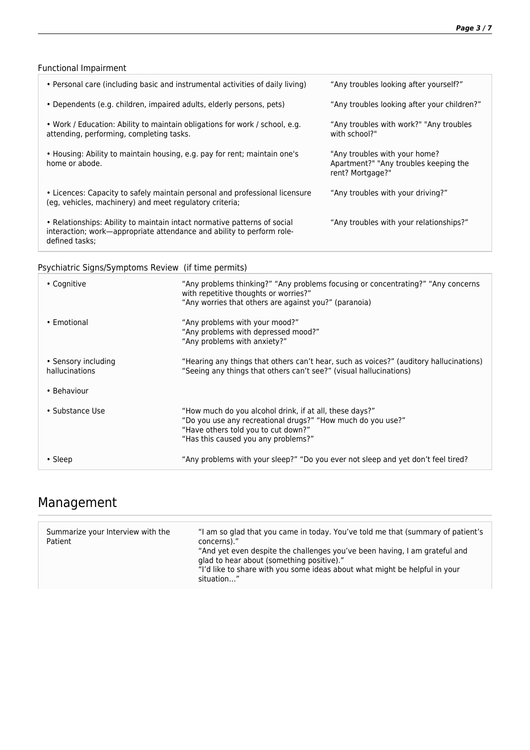#### Functional Impairment

| • Personal care (including basic and instrumental activities of daily living)                                                                                       | "Any troubles looking after yourself?"                                                     |
|---------------------------------------------------------------------------------------------------------------------------------------------------------------------|--------------------------------------------------------------------------------------------|
| • Dependents (e.g. children, impaired adults, elderly persons, pets)                                                                                                | "Any troubles looking after your children?"                                                |
| • Work / Education: Ability to maintain obligations for work / school, e.g.<br>attending, performing, completing tasks.                                             | "Any troubles with work?" "Any troubles"<br>with school?"                                  |
| • Housing: Ability to maintain housing, e.g. pay for rent; maintain one's<br>home or abode.                                                                         | "Any troubles with your home?<br>Apartment?" "Any troubles keeping the<br>rent? Mortgage?" |
| • Licences: Capacity to safely maintain personal and professional licensure<br>(eg, vehicles, machinery) and meet regulatory criteria;                              | "Any troubles with your driving?"                                                          |
| • Relationships: Ability to maintain intact normative patterns of social<br>interaction; work—appropriate attendance and ability to perform role-<br>defined tasks: | "Any troubles with your relationships?"                                                    |

#### Psychiatric Signs/Symptoms Review (if time permits)

| • Cognitive                           | "Any problems thinking?" "Any problems focusing or concentrating?" "Any concerns<br>with repetitive thoughts or worries?"<br>"Any worries that others are against you?" (paranoia)                   |
|---------------------------------------|------------------------------------------------------------------------------------------------------------------------------------------------------------------------------------------------------|
| • Emotional                           | "Any problems with your mood?"<br>"Any problems with depressed mood?"<br>"Any problems with anxiety?"                                                                                                |
| • Sensory including<br>hallucinations | "Hearing any things that others can't hear, such as voices?" (auditory hallucinations)<br>"Seeing any things that others can't see?" (visual hallucinations)                                         |
| • Behaviour                           |                                                                                                                                                                                                      |
| • Substance Use                       | "How much do you alcohol drink, if at all, these days?"<br>"Do you use any recreational drugs?" "How much do you use?"<br>"Have others told you to cut down?"<br>"Has this caused you any problems?" |
| $\cdot$ Sleep                         | "Any problems with your sleep?" "Do you ever not sleep and yet don't feel tired?                                                                                                                     |

## Management

| Summarize your Interview with the<br>Patient | "I am so glad that you came in today. You've told me that (summary of patient's<br>concerns)."<br>"And yet even despite the challenges you've been having, I am grateful and<br>glad to hear about (something positive)."<br>"I'd like to share with you some ideas about what might be helpful in your<br>situation" |
|----------------------------------------------|-----------------------------------------------------------------------------------------------------------------------------------------------------------------------------------------------------------------------------------------------------------------------------------------------------------------------|
|----------------------------------------------|-----------------------------------------------------------------------------------------------------------------------------------------------------------------------------------------------------------------------------------------------------------------------------------------------------------------------|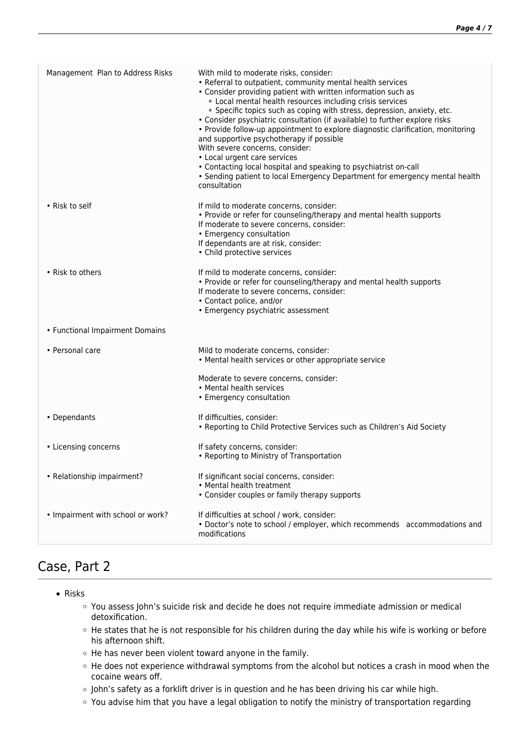| Management Plan to Address Risks  | With mild to moderate risks, consider:<br>• Referral to outpatient, community mental health services<br>• Consider providing patient with written information such as<br>. Local mental health resources including crisis services<br>· Specific topics such as coping with stress, depression, anxiety, etc.<br>• Consider psychiatric consultation (if available) to further explore risks<br>• Provide follow-up appointment to explore diagnostic clarification, monitoring<br>and supportive psychotherapy if possible<br>With severe concerns, consider:<br>• Local urgent care services<br>• Contacting local hospital and speaking to psychiatrist on-call<br>• Sending patient to local Emergency Department for emergency mental health<br>consultation |
|-----------------------------------|-------------------------------------------------------------------------------------------------------------------------------------------------------------------------------------------------------------------------------------------------------------------------------------------------------------------------------------------------------------------------------------------------------------------------------------------------------------------------------------------------------------------------------------------------------------------------------------------------------------------------------------------------------------------------------------------------------------------------------------------------------------------|
| • Risk to self                    | If mild to moderate concerns, consider:<br>• Provide or refer for counseling/therapy and mental health supports<br>If moderate to severe concerns, consider:<br>• Emergency consultation<br>If dependants are at risk, consider:<br>• Child protective services                                                                                                                                                                                                                                                                                                                                                                                                                                                                                                   |
| • Risk to others                  | If mild to moderate concerns, consider:<br>• Provide or refer for counseling/therapy and mental health supports<br>If moderate to severe concerns, consider:<br>• Contact police, and/or<br>• Emergency psychiatric assessment                                                                                                                                                                                                                                                                                                                                                                                                                                                                                                                                    |
| • Functional Impairment Domains   |                                                                                                                                                                                                                                                                                                                                                                                                                                                                                                                                                                                                                                                                                                                                                                   |
| • Personal care                   | Mild to moderate concerns, consider:<br>• Mental health services or other appropriate service                                                                                                                                                                                                                                                                                                                                                                                                                                                                                                                                                                                                                                                                     |
|                                   | Moderate to severe concerns, consider:<br>• Mental health services<br>• Emergency consultation                                                                                                                                                                                                                                                                                                                                                                                                                                                                                                                                                                                                                                                                    |
| • Dependants                      | If difficulties, consider:<br>• Reporting to Child Protective Services such as Children's Aid Society                                                                                                                                                                                                                                                                                                                                                                                                                                                                                                                                                                                                                                                             |
| • Licensing concerns              | If safety concerns, consider:<br>• Reporting to Ministry of Transportation                                                                                                                                                                                                                                                                                                                                                                                                                                                                                                                                                                                                                                                                                        |
| • Relationship impairment?        | If significant social concerns, consider:<br>• Mental health treatment<br>• Consider couples or family therapy supports                                                                                                                                                                                                                                                                                                                                                                                                                                                                                                                                                                                                                                           |
| • Impairment with school or work? | If difficulties at school / work, consider:<br>• Doctor's note to school / employer, which recommends accommodations and<br>modifications                                                                                                                                                                                                                                                                                                                                                                                                                                                                                                                                                                                                                         |

# Case, Part 2

- Risks
	- You assess John's suicide risk and decide he does not require immediate admission or medical detoxification.
	- He states that he is not responsible for his children during the day while his wife is working or before his afternoon shift.
	- $\circ$  He has never been violent toward anyone in the family.
	- o He does not experience withdrawal symptoms from the alcohol but notices a crash in mood when the cocaine wears off.
	- o John's safety as a forklift driver is in question and he has been driving his car while high.
	- You advise him that you have a legal obligation to notify the ministry of transportation regarding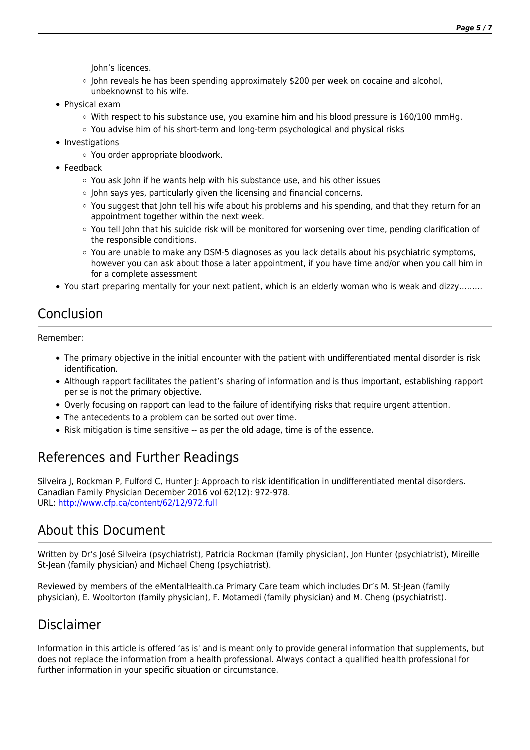John's licences.

- $\circ$  John reveals he has been spending approximately \$200 per week on cocaine and alcohol, unbeknownst to his wife.
- Physical exam
	- $\circ$  With respect to his substance use, you examine him and his blood pressure is 160/100 mmHg.
	- $\circ$  You advise him of his short-term and long-term psychological and physical risks
- Investigations
	- You order appropriate bloodwork.
- Feedback
	- You ask John if he wants help with his substance use, and his other issues
	- $\circ$  John says yes, particularly given the licensing and financial concerns.
	- You suggest that John tell his wife about his problems and his spending, and that they return for an appointment together within the next week.
	- You tell John that his suicide risk will be monitored for worsening over time, pending clarification of the responsible conditions.
	- $\circ$  You are unable to make any DSM-5 diagnoses as you lack details about his psychiatric symptoms, however you can ask about those a later appointment, if you have time and/or when you call him in for a complete assessment
- You start preparing mentally for your next patient, which is an elderly woman who is weak and dizzy………

#### Conclusion

Remember:

- The primary objective in the initial encounter with the patient with undifferentiated mental disorder is risk identification.
- Although rapport facilitates the patient's sharing of information and is thus important, establishing rapport per se is not the primary objective.
- Overly focusing on rapport can lead to the failure of identifying risks that require urgent attention.
- The antecedents to a problem can be sorted out over time.
- Risk mitigation is time sensitive -- as per the old adage, time is of the essence.

### References and Further Readings

Silveira J, Rockman P, Fulford C, Hunter J: Approach to risk identification in undifferentiated mental disorders. Canadian Family Physician December 2016 vol 62(12): 972-978. URL: <http://www.cfp.ca/content/62/12/972.full>

#### About this Document

Written by Dr's José Silveira (psychiatrist), Patricia Rockman (family physician), Jon Hunter (psychiatrist), Mireille St-Jean (family physician) and Michael Cheng (psychiatrist).

Reviewed by members of the eMentalHealth.ca Primary Care team which includes Dr's M. St-Jean (family physician), E. Wooltorton (family physician), F. Motamedi (family physician) and M. Cheng (psychiatrist).

### Disclaimer

Information in this article is offered 'as is' and is meant only to provide general information that supplements, but does not replace the information from a health professional. Always contact a qualified health professional for further information in your specific situation or circumstance.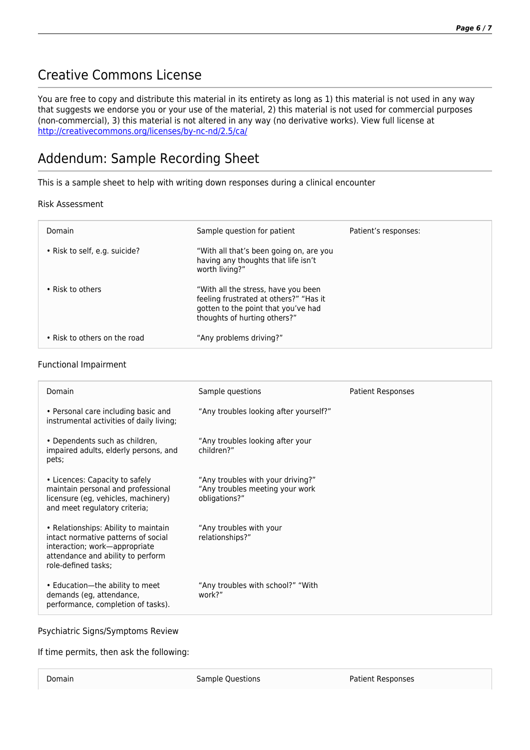## Creative Commons License

You are free to copy and distribute this material in its entirety as long as 1) this material is not used in any way that suggests we endorse you or your use of the material, 2) this material is not used for commercial purposes (non-commercial), 3) this material is not altered in any way (no derivative works). View full license at <http://creativecommons.org/licenses/by-nc-nd/2.5/ca/>

## Addendum: Sample Recording Sheet

This is a sample sheet to help with writing down responses during a clinical encounter

#### Risk Assessment

| Domain                        | Sample question for patient                                                                                                                          | Patient's responses: |
|-------------------------------|------------------------------------------------------------------------------------------------------------------------------------------------------|----------------------|
| • Risk to self, e.g. suicide? | "With all that's been going on, are you<br>having any thoughts that life isn't<br>worth living?"                                                     |                      |
| • Risk to others              | "With all the stress, have you been<br>feeling frustrated at others?" "Has it<br>gotten to the point that you've had<br>thoughts of hurting others?" |                      |
| • Risk to others on the road  | "Any problems driving?"                                                                                                                              |                      |

#### Functional Impairment

| Domain                                                                                                                                                                   | Sample questions                                                                      | <b>Patient Responses</b> |
|--------------------------------------------------------------------------------------------------------------------------------------------------------------------------|---------------------------------------------------------------------------------------|--------------------------|
| • Personal care including basic and<br>instrumental activities of daily living;                                                                                          | "Any troubles looking after yourself?"                                                |                          |
| • Dependents such as children,<br>impaired adults, elderly persons, and<br>pets;                                                                                         | "Any troubles looking after your<br>children?"                                        |                          |
| • Licences: Capacity to safely<br>maintain personal and professional<br>licensure (eq. vehicles, machinery)<br>and meet regulatory criteria;                             | "Any troubles with your driving?"<br>"Any troubles meeting your work<br>obligations?" |                          |
| • Relationships: Ability to maintain<br>intact normative patterns of social<br>interaction; work-appropriate<br>attendance and ability to perform<br>role-defined tasks: | "Any troubles with your<br>relationships?"                                            |                          |
| • Education-the ability to meet<br>demands (eg, attendance,<br>performance, completion of tasks).                                                                        | "Any troubles with school?" "With<br>work?"                                           |                          |

Psychiatric Signs/Symptoms Review

If time permits, then ask the following:

Domain **Sample Questions** Patient Responses